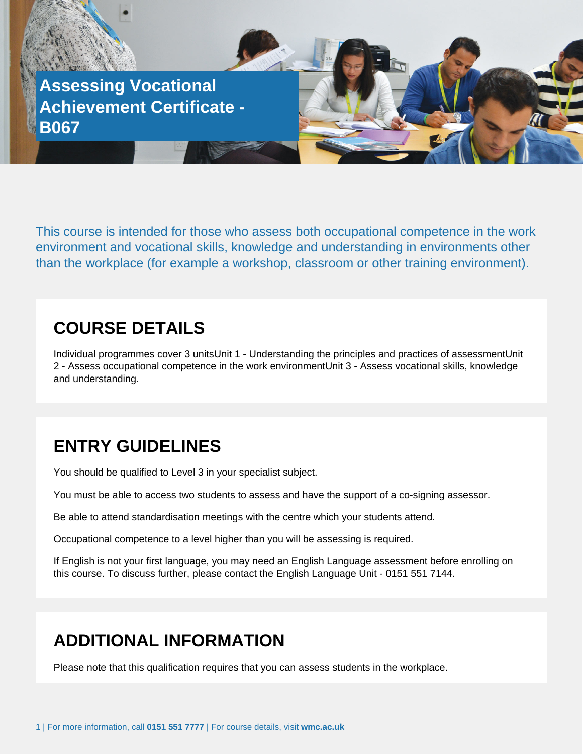

This course is intended for those who assess both occupational competence in the work environment and vocational skills, knowledge and understanding in environments other than the workplace (for example a workshop, classroom or other training environment).

## **COURSE DETAILS**

Individual programmes cover 3 unitsUnit 1 - Understanding the principles and practices of assessmentUnit 2 - Assess occupational competence in the work environmentUnit 3 - Assess vocational skills, knowledge and understanding.

## **ENTRY GUIDELINES**

You should be qualified to Level 3 in your specialist subject.

You must be able to access two students to assess and have the support of a co-signing assessor.

Be able to attend standardisation meetings with the centre which your students attend.

Occupational competence to a level higher than you will be assessing is required.

If English is not your first language, you may need an English Language assessment before enrolling on this course. To discuss further, please contact the English Language Unit - 0151 551 7144.

## **ADDITIONAL INFORMATION**

Please note that this qualification requires that you can assess students in the workplace.